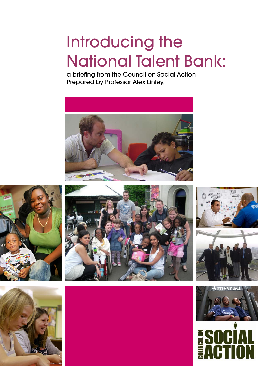# Introducing the National Talent Bank:

a briefing from the Council on Social Action Prepared by Professor Alex Linley,













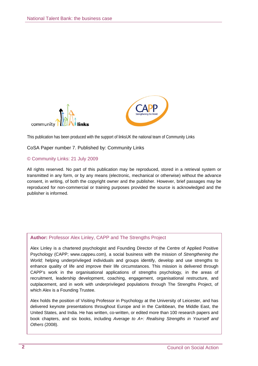



This publication has been produced with the support of linksUK the national team of Community Links

#### CoSA Paper number 7. Published by: Community Links

#### © Community Links: 21 July 2009

All rights reserved. No part of this publication may be reproduced, stored in a retrieval system or transmitted in any form, or by any means (electronic, mechanical or otherwise) without the advance consent, in writing, of both the copyright owner and the publisher. However, brief passages may be reproduced for non-commercial or training purposes provided the source is acknowledged and the publisher is informed.

#### **Author:** Professor Alex Linley, CAPP and The Strengths Project

Alex Linley is a chartered psychologist and Founding Director of the Centre of Applied Positive Psychology (CAPP; www.cappeu.com), a social business with the mission of *Strengthening the World;* helping underprivileged individuals and groups identify, develop and use strengths to enhance quality of life and improve their life circumstances. This mission is delivered through CAPP's work in the organisational applications of strengths psychology*,* in the areas of recruitment, leadership development, coaching, engagement, organisational restructure, and outplacement, and in work with underprivileged populations through The Strengths Project, of which Alex is a Founding Trustee.

Alex holds the position of Visiting Professor in Psychology at the University of Leicester, and has delivered keynote presentations throughout Europe and in the Caribbean, the Middle East, the United States, and India. He has written, co-written, or edited more than 100 research papers and book chapters, and six books, including *Average to A+: Realising Strengths in Yourself and Others* (2008).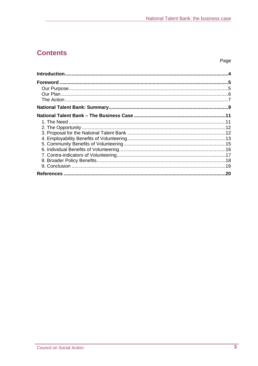# **Contents**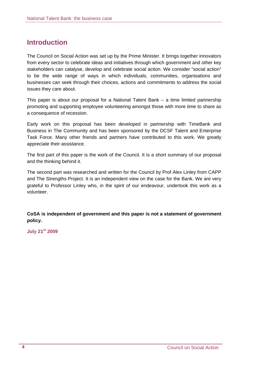# **Introduction**

The Council on Social Action was set up by the Prime Minister. It brings together innovators from every sector to celebrate ideas and initiatives through which government and other key stakeholders can catalyse, develop and celebrate social action. We consider "social action" to be the wide range of ways in which individuals, communities, organisations and businesses can seek through their choices, actions and commitments to address the social issues they care about.

This paper is about our proposal for a National Talent Bank – a time limited partnership promoting and supporting employee volunteering amongst those with more time to share as a consequence of recession.

Early work on this proposal has been developed in partnership with TimeBank and Business in The Community and has been sponsored by the DCSF Talent and Enterprise Task Force. Many other friends and partners have contributed to this work. We greatly appreciate their assistance.

The first part of this paper is the work of the Council. It is a short summary of our proposal and the thinking behind it.

The second part was researched and written for the Council by Prof Alex Linley from CAPP and The Strengths Project. It is an independent view on the case for the Bank. We are very grateful to Professor Linley who, in the spirit of our endeavour, undertook this work as a volunteer.

**CoSA is independent of government and this paper is not a statement of government policy.** 

**July 21st 2009**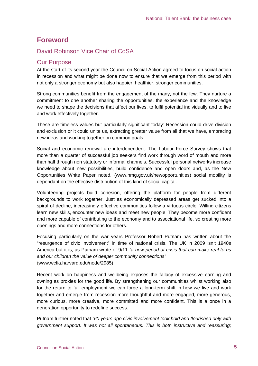# **Foreword**

## David Robinson Vice Chair of CoSA

## Our Purpose

At the start of its second year the Council on Social Action agreed to focus on social action in recession and what might be done now to ensure that we emerge from this period with not only a stronger economy but also happier, healthier, stronger communities.

Strong communities benefit from the engagement of the many, not the few. They nurture a commitment to one another sharing the opportunities, the experience and the knowledge we need to shape the decisions that affect our lives, to fulfil potential individually and to live and work effectively together.

These are timeless values but particularly significant today: Recession could drive division and exclusion or it could unite us, extracting greater value from all that we have, embracing new ideas and working together on common goals.

Social and economic renewal are interdependent. The Labour Force Survey shows that more than a quarter of successful job seekers find work through word of mouth and more than half through non statutory or informal channels. Successful personal networks increase knowledge about new possibilities, build confidence and open doors and, as the New Opportunities White Paper noted, (www.hmg.gov.uk/newopportunities) social mobility is dependant on the effective distribution of this kind of social capital.

Volunteering projects build cohesion, offering the platform for people from different backgrounds to work together. Just as economically depressed areas get sucked into a spiral of decline, increasingly effective communities follow a virtuous circle. Willing citizens learn new skills, encounter new ideas and meet new people. They become more confident and more capable of contributing to the economy and to associational life, so creating more openings and more connections for others.

Focusing particularly on the war years Professor Robert Putnam has written about the "resurgence of civic involvement" in time of national crisis. The UK in 2009 isn't 1940s America but it is, as Putnam wrote of 9/11 *"a new period of crisis that can make real to us and our children the value of deeper community connections"*  (www.wcfia.harvard.edu/node/2985)

Recent work on happiness and wellbeing exposes the fallacy of excessive earning and owning as proxies for the good life. By strengthening our communities whilst working also for the return to full employment we can forge a long-term shift in how we live and work together and emerge from recession more thoughtful and more engaged, more generous, more curious, more creative, more committed and more confident. This is a once in a generation opportunity to redefine success.

Putnam further noted that *"60 years ago civic involvement took hold and flourished only with government support. It was not all spontaneous. This is both instructive and reassuring;*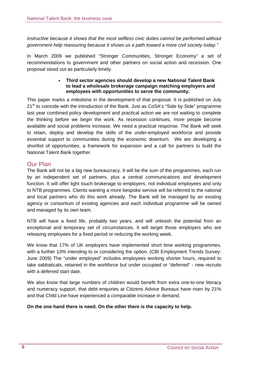*instructive because it shows that the most selfless civic duties cannot be performed without government help reassuring because it shows us a path toward a more civil society today."*

In March 2009 we published "Stronger Communities, Stronger Economy" a set of recommendations to government and other partners on social action and recession. One proposal stood out as particularly timely.

#### • **Third sector agencies should develop a new National Talent Bank to lead a wholesale brokerage campaign matching employers and employees with opportunities to serve the community.**

This paper marks a milestone in the development of that proposal. It is published on July 21<sup>st</sup> to coincide with the introduction of the Bank. Just as CoSA's "Side by Side" programme last year combined policy development and practical action we are not waiting to complete the thinking before we begin the work. As recession continues, more people become available and social problems increase. We need a practical response. The Bank will seek to retain, deploy and develop the skills of the under-employed workforce and provide essential support to communities during the economic downturn. We are developing a shortlist of opportunities, a framework for expansion and a call for partners to build the National Talent Bank together.

## Our Plan

The Bank will not be a big new bureaucracy. It will be the sum of the programmes, each run by an independent set of partners, plus a central communications and development function. It will offer light touch brokerage to employers, not individual employees and only to NTB programmes. Clients wanting a more bespoke service will be referred to the national and local partners who do this work already. The Bank will be managed by an existing agency or consortium of existing agencies and each individual programme will be owned and managed by its own team.

NTB will have a fixed life, probably two years, and will unleash the potential from an exceptional and temporary set of circumstances. It will target those employers who are releasing employees for a fixed period or reducing the working week.

We know that 17% of UK employers have implemented short time working programmes, with a further 13% intending to or considering the option. (CBI Employment Trends Survey: June 2009) The "under employed" includes employees working shorter hours, required to take sabbaticals, retained in the workforce but under occupied or "deferred" - new recruits with a deferred start date.

We also know that large numbers of children would benefit from extra one-to-one literacy and numeracy support, that debt enquiries at Citizens Advice Bureaux have risen by 21% and that Child Line have experienced a comparable increase in demand.

**On the one hand there is need. On the other there is the capacity to help.**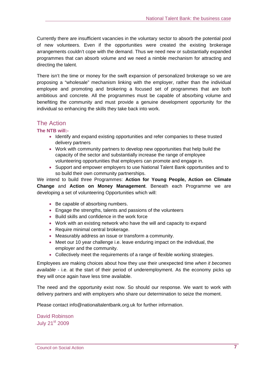Currently there are insufficient vacancies in the voluntary sector to absorb the potential pool of new volunteers. Even if the opportunities were created the existing brokerage arrangements couldn't cope with the demand. Thus we need new or substantially expanded programmes that can absorb volume and we need a nimble mechanism for attracting and directing the talent.

There isn't the time or money for the swift expansion of personalized brokerage so we are proposing a "wholesale" mechanism linking with the employer, rather than the individual employee and promoting and brokering a focused set of programmes that are both ambitious and concrete. All the programmes must be capable of absorbing volume and benefiting the community and must provide a genuine development opportunity for the individual so enhancing the skills they take back into work.

## The Action

#### **The NTB will:-**

- Identify and expand existing opportunities and refer companies to these trusted delivery partners
- Work with community partners to develop new opportunities that help build the capacity of the sector and substantially increase the range of employee volunteering opportunities that employers can promote and engage in.
- Support and empower employers to use National Talent Bank opportunities and to so build their own community partnerships.

We intend to build three Programmes: **Action for Young People, Action on Climate Change** and **Action on Money Management**. Beneath each Programme we are developing a set of volunteering Opportunities which will:

- Be capable of absorbing numbers.
- Engage the strengths, talents and passions of the volunteers
- Build skills and confidence in the work force
- Work with an existing network who have the will and capacity to expand
- Require minimal central brokerage.
- Measurably address an issue or transform a community.
- Meet our 10 year challenge i.e. leave enduring impact on the individual, the employer and the community.
- Collectively meet the requirements of a range of flexible working strategies.

Employees are making choices about how they use their unexpected time *when it becomes available* - i.e. at the start of their period of underemployment. As the economy picks up they will once again have less time available.

The need and the opportunity exist now. So should our response. We want to work with delivery partners and with employers who share our determination to seize the moment.

Please contact info@nationaltalentbank.org.uk for further information.

David Robinson July 21st 2009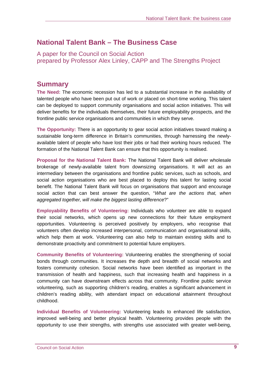# **National Talent Bank – The Business Case**

A paper for the Council on Social Action prepared by Professor Alex Linley, CAPP and The Strengths Project

## **Summary**

**The Need:** The economic recession has led to a substantial increase in the availability of talented people who have been put out of work or placed on short-time working. This talent can be deployed to support community organisations and social action initiatives. This will deliver benefits for the individuals themselves, their future employability prospects, and the frontline public service organisations and communities in which they serve.

**The Opportunity:** There is an opportunity to gear social action initiatives toward making a sustainable long-term difference in Britain's communities, through harnessing the newlyavailable talent of people who have lost their jobs or had their working hours reduced. The formation of the National Talent Bank can ensure that this opportunity is realised.

**Proposal for the National Talent Bank:** The National Talent Bank will deliver wholesale brokerage of newly-available talent from downsizing organisations. It will act as an intermediary between the organisations and frontline public services, such as schools, and social action organisations who are best placed to deploy this talent for lasting social benefit. The National Talent Bank will focus on organisations that support and encourage social action that can best answer the question, "*What are the actions that, when aggregated together, will make the biggest lasting difference*?"

**Employability Benefits of Volunteering:** Individuals who volunteer are able to expand their social networks, which opens up new connections for their future employment opportunities. Volunteering is perceived positively by employers, who recognise that volunteers often develop increased interpersonal, communication and organisational skills, which help them at work. Volunteering can also help to maintain existing skills and to demonstrate proactivity and commitment to potential future employers.

**Community Benefits of Volunteering:** Volunteering enables the strengthening of social bonds through communities. It increases the depth and breadth of social networks and fosters community cohesion. Social networks have been identified as important in the transmission of health and happiness, such that increasing health and happiness in a community can have downstream effects across that community. Frontline public service volunteering, such as supporting children's reading, enables a significant advancement in children's reading ability, with attendant impact on educational attainment throughout childhood.

**Individual Benefits of Volunteering:** Volunteering leads to enhanced life satisfaction, improved well-being and better physical health. Volunteering provides people with the opportunity to use their strengths, with strengths use associated with greater well-being,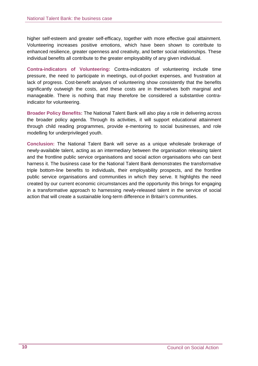higher self-esteem and greater self-efficacy, together with more effective goal attainment. Volunteering increases positive emotions, which have been shown to contribute to enhanced resilience, greater openness and creativity, and better social relationships. These individual benefits all contribute to the greater employability of any given individual.

**Contra-indicators of Volunteering:** Contra-indicators of volunteering include time pressure, the need to participate in meetings, out-of-pocket expenses, and frustration at lack of progress. Cost-benefit analyses of volunteering show consistently that the benefits significantly outweigh the costs, and these costs are in themselves both marginal and manageable. There is nothing that may therefore be considered a substantive contraindicator for volunteering.

**Broader Policy Benefits:** The National Talent Bank will also play a role in delivering across the broader policy agenda. Through its activities, it will support educational attainment through child reading programmes, provide e-mentoring to social businesses, and role modelling for underprivileged youth.

**Conclusion:** The National Talent Bank will serve as a unique wholesale brokerage of newly-available talent, acting as an intermediary between the organisation releasing talent and the frontline public service organisations and social action organisations who can best harness it. The business case for the National Talent Bank demonstrates the transformative triple bottom-line benefits to individuals, their employability prospects, and the frontline public service organisations and communities in which they serve. It highlights the need created by our current economic circumstances and the opportunity this brings for engaging in a transformative approach to harnessing newly-released talent in the service of social action that will create a sustainable long-term difference in Britain's communities.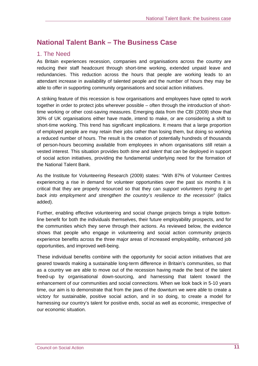# **National Talent Bank – The Business Case**

## 1. The Need

As Britain experiences recession, companies and organisations across the country are reducing their staff headcount through short-time working, extended unpaid leave and redundancies. This reduction across the hours that people are working leads to an attendant increase in availability of talented people and the number of hours they may be able to offer in supporting community organisations and social action initiatives.

A striking feature of this recession is how organisations and employees have opted to work together in order to protect jobs wherever possible – often through the introduction of shorttime working or other cost-saving measures. Emerging data from the CBI (2009) show that 30% of UK organisations either have made, intend to make, or are considering a shift to short-time working. This trend has significant implications. It means that a large proportion of employed people are may retain their jobs rather than losing them, but doing so working a reduced number of hours. The result is the creation of potentially hundreds of thousands of person-hours becoming available from employees in whom organisations still retain a vested interest. This situation provides both *time* and *talent* that can be deployed in support of social action initiatives, providing the fundamental underlying need for the formation of the National Talent Bank.

As the Institute for Volunteering Research (2009) states: "With 87% of Volunteer Centres experiencing a rise in demand for volunteer opportunities over the past six months it is critical that they are properly resourced so that they can *support volunteers trying to get back into employment and strengthen the country's resilience to the recession*" (italics added).

Further, enabling effective volunteering and social change projects brings a triple bottomline benefit for both the individuals themselves, their future employability prospects, and for the communities which they serve through their actions. As reviewed below, the evidence shows that people who engage in volunteering and social action community projects experience benefits across the three major areas of increased employability, enhanced job opportunities, and improved well-being.

These individual benefits combine with the opportunity for social action initiatives that are geared towards making a sustainable long-term difference in Britain's communities, so that as a country we are able to move out of the recession having made the best of the talent freed-up by organisational down-sourcing, and harnessing that talent toward the enhancement of our communities and social connections. When we look back in 5-10 years time, our aim is to demonstrate that from the jaws of the downturn we were able to create a victory for sustainable, positive social action, and in so doing, to create a model for harnessing our country's talent for positive ends, social as well as economic, irrespective of our economic situation.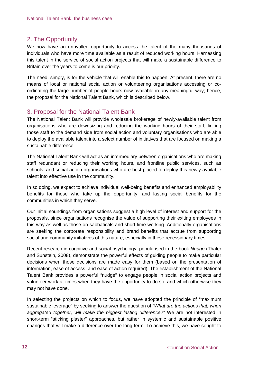## 2. The Opportunity

We now have an unrivalled opportunity to access the talent of the many thousands of individuals who have more time available as a result of reduced working hours. Harnessing this talent in the service of social action projects that will make a sustainable difference to Britain over the years to come is our priority.

The need, simply, is for the vehicle that will enable this to happen. At present, there are no means of local or national social action or volunteering organisations accessing or coordinating the large number of people hours now available in any meaningful way; hence, the proposal for the National Talent Bank, which is described below.

## 3. Proposal for the National Talent Bank

The National Talent Bank will provide wholesale brokerage of newly-available talent from organisations who are downsizing and reducing the working hours of their staff, linking those staff to the demand side from social action and voluntary organisations who are able to deploy the available talent into a select number of initiatives that are focused on making a sustainable difference.

The National Talent Bank will act as an intermediary between organisations who are making staff redundant or reducing their working hours, and frontline public services, such as schools, and social action organisations who are best placed to deploy this newly-available talent into effective use in the community.

In so doing, we expect to achieve individual well-being benefits and enhanced employability benefits for those who take up the opportunity, and lasting social benefits for the communities in which they serve.

Our initial soundings from organisations suggest a high level of interest and support for the proposals, since organisations recognise the value of supporting their exiting employees in this way as well as those on sabbaticals and short-time working. Additionally organisations are seeking the corporate responsibility and brand benefits that accrue from supporting social and community initiatives of this nature, especially in these recessionary times.

Recent research in cognitive and social psychology, popularised in the book *Nudge* (Thaler and Sunstein, 2008), demonstrate the powerful effects of guiding people to make particular decisions when those decisions are made easy for them (based on the presentation of information, ease of access, and ease of action required). The establishment of the National Talent Bank provides a powerful "nudge" to engage people in social action projects and volunteer work at times when they have the opportunity to do so, and which otherwise they may not have done.

In selecting the projects on which to focus, we have adopted the principle of "maximum sustainable leverage" by seeking to answer the question of "*What are the actions that, when aggregated together, will make the biggest lasting difference*?" We are not interested in short-term "sticking plaster" approaches, but rather in systemic and sustainable positive changes that will make a difference over the long term. To achieve this, we have sought to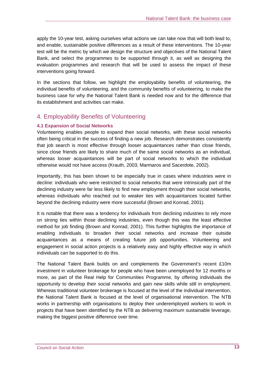apply the 10-year test, asking ourselves what actions we can take now that will both lead to, and enable, sustainable positive differences as a result of these interventions. The 10-year test will be the metric by which we design the structure and objectives of the National Talent Bank, and select the programmes to be supported through it, as well as designing the evaluation programmes and research that will be used to assess the impact of these interventions going forward.

In the sections that follow, we highlight the employability benefits of volunteering, the individual benefits of volunteering, and the community benefits of volunteering, to make the business case for why the National Talent Bank is needed now and for the difference that its establishment and activities can make.

## 4. Employability Benefits of Volunteering

#### **4.1 Expansion of Social Networks**

Volunteering enables people to expand their social networks, with these social networks often being critical in the success of finding a new job. Research demonstrates consistently that job search is most effective through looser acquaintances rather than close friends, since close friends are likely to share much of the same social networks as an individual, whereas looser acquaintances will be part of social networks to which the individual otherwise would not have access (Krauth, 2003; Marmaros and Sacerdote, 2002).

Importantly, this has been shown to be especially true in cases where industries were in decline: individuals who were restricted to social networks that were intrinsically part of the declining industry were far less likely to find new employment through their social networks, whereas individuals who reached out to weaker ties with acquaintances located further beyond the declining industry were more successful (Brown and Konrad, 2001).

It is notable that there was a tendency for individuals from declining industries to rely more on strong ties within those declining industries, even though this was the least effective method for job finding (Brown and Konrad, 2001). This further highlights the importance of enabling individuals to broaden their social networks and increase their outside acquaintances as a means of creating future job opportunities. Volunteering and engagement in social action projects is a relatively easy and highly effective way in which individuals can be supported to do this.

The National Talent Bank builds on and complements the Government's recent £10m investment in volunteer brokerage for people who have been unemployed for 12 months or more, as part of the Real Help for Communities Programme, by offering individuals the opportunity to develop their social networks and gain new skills while still in employment. Whereas traditional volunteer brokerage is focused at the level of the individual intervention, the National Talent Bank is focused at the level of organisational intervention. The NTB works in partnership with organisations to deploy their underemployed workers to work in projects that have been identified by the NTB as delivering maximum sustainable leverage, making the biggest positive difference over time.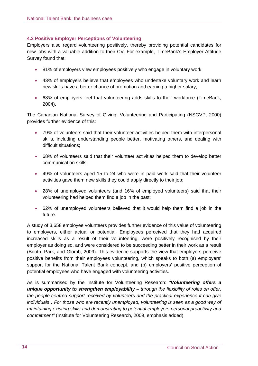#### **4.2 Positive Employer Perceptions of Volunteering**

Employers also regard volunteering positively, thereby providing potential candidates for new jobs with a valuable addition to their CV. For example, TimeBank's Employer Attitude Survey found that:

- 81% of employers view employees positively who engage in voluntary work;
- 43% of employers believe that employees who undertake voluntary work and learn new skills have a better chance of promotion and earning a higher salary;
- 68% of employers feel that volunteering adds skills to their workforce (TimeBank, 2004).

The Canadian National Survey of Giving, Volunteering and Participating (NSGVP, 2000) provides further evidence of this:

- 79% of volunteers said that their volunteer activities helped them with interpersonal skills, including understanding people better, motivating others, and dealing with difficult situations;
- 68% of volunteers said that their volunteer activities helped them to develop better communication skills;
- 49% of volunteers aged 15 to 24 who were in paid work said that their volunteer activities gave them new skills they could apply directly to their job;
- 28% of unemployed volunteers (and 16% of employed volunteers) said that their volunteering had helped them find a job in the past;
- 62% of unemployed volunteers believed that it would help them find a job in the future.

A study of 3,658 employee volunteers provides further evidence of this value of volunteering to employers, either actual or potential. Employees perceived that they had acquired increased skills as a result of their volunteering, were positively recognised by their employer as doing so, and were considered to be succeeding better in their work as a result (Booth, Park, and Glomb, 2009). This evidence supports the view that employers perceive positive benefits from their employees volunteering, which speaks to both (a) employers' support for the National Talent Bank concept, and (b) employers' positive perception of potential employees who have engaged with volunteering activities.

As is summarised by the Institute for Volunteering Research: *"Volunteering offers a unique opportunity to strengthen employability – through the flexibility of roles on offer, the people-centred support received by volunteers and the practical experience it can give*  individuals...For those who are recently unemployed, volunteering is seen as a good way of *maintaining existing skills and demonstrating to potential employers personal proactivity and commitment"* (Institute for Volunteering Research, 2009, emphasis added).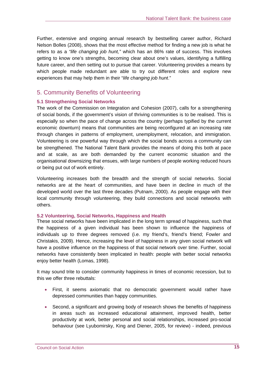Further, extensive and ongoing annual research by bestselling career author, Richard Nelson Bolles (2008), shows that the most effective method for finding a new job is what he refers to as a *"life changing job hunt,"* which has an 86% rate of success. This involves getting to know one's strengths, becoming clear about one's values, identifying a fulfilling future career, and then setting out to pursue that career. Volunteering provides a means by which people made redundant are able to try out different roles and explore new experiences that may help them in their "*life changing job hunt*."

## 5. Community Benefits of Volunteering

#### **5.1 Strengthening Social Networks**

The work of the Commission on Integration and Cohesion (2007), calls for a strengthening of social bonds, if the government's vision of thriving communities is to be realised. This is especially so when the pace of change across the country (perhaps typified by the current economic downturn) means that communities are being reconfigured at an increasing rate through changes in patterns of employment, unemployment, relocation, and immigration. Volunteering is one powerful way through which the social bonds across a community can be strengthened. The National Talent Bank provides the means of doing this both at pace and at scale, as are both demanded by the current economic situation and the organisational downsizing that ensues, with large numbers of people working reduced hours or being put out of work entirely.

Volunteering increases both the breadth and the strength of social networks. Social networks are at the heart of communities, and have been in decline in much of the developed world over the last three decades (Putnam, 2000). As people engage with their local community through volunteering, they build connections and social networks with others.

#### **5.2 Volunteering, Social Networks, Happiness and Health**

These social networks have been implicated in the long term spread of happiness, such that the happiness of a given individual has been shown to influence the happiness of individuals up to three degrees removed (i.e. my friend's, friend's friend; Fowler and Christakis, 2009). Hence, increasing the level of happiness in any given social network will have a positive influence on the happiness of that social network over time. Further, social networks have consistently been implicated in health: people with better social networks enjoy better health (Lomas, 1998).

It may sound trite to consider community happiness in times of economic recession, but to this we offer three rebuttals:

- First, it seems axiomatic that no democratic government would rather have depressed communities than happy communities.
- Second, a significant and growing body of research shows the benefits of happiness in areas such as increased educational attainment, improved health, better productivity at work, better personal and social relationships, increased pro-social behaviour (see Lyubomirsky, King and Diener, 2005, for review) - indeed, previous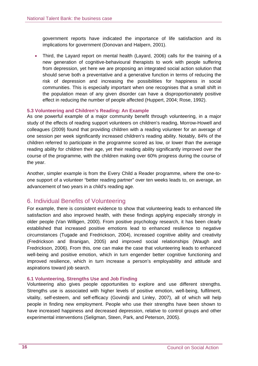government reports have indicated the importance of life satisfaction and its implications for government (Donovan and Halpern, 2001).

• Third, the Layard report on mental health (Layard, 2006) calls for the training of a new generation of cognitive-behavioural therapists to work with people suffering from depression, yet here we are proposing an integrated social action solution that should serve both a preventative and a generative function in terms of reducing the risk of depression and increasing the possibilities for happiness in social communities. This is especially important when one recognises that a small shift in the population mean of any given disorder can have a disproportionately positive effect in reducing the number of people affected (Huppert, 2004; Rose, 1992).

#### **5.3 Volunteering and Children's Reading: An Example**

As one powerful example of a major community benefit through volunteering, in a major study of the effects of reading support volunteers on children's reading, Morrow-Howell and colleagues (2009) found that providing children with a reading volunteer for an average of one session per week significantly increased children's reading ability. Notably, 84% of the children referred to participate in the programme scored as low, or lower than the average reading ability for children their age, yet their reading ability significantly improved over the course of the programme, with the children making over 60% progress during the course of the year.

Another, simpler example is from the Every Child a Reader programme, where the one-toone support of a volunteer "better reading partner" over ten weeks leads to, on average, an advancement of two years in a child's reading age.

## 6. Individual Benefits of Volunteering

For example, there is consistent evidence to show that volunteering leads to enhanced life satisfaction and also improved health, with these findings applying especially strongly in older people (Van Willigen, 2000). From positive psychology research, it has been clearly established that increased positive emotions lead to enhanced resilience to negative circumstances (Tugade and Fredrickson, 2004), increased cognitive ability and creativity (Fredrickson and Branigan, 2005) and improved social relationships (Waugh and Fredrickson, 2006). From this, one can make the case that volunteering leads to enhanced well-being and positive emotion, which in turn engender better cognitive functioning and improved resilience, which in turn increase a person's employability and attitude and aspirations toward job search.

#### **6.1 Volunteering, Strengths Use and Job Finding**

Volunteering also gives people opportunities to explore and use different strengths. Strengths use is associated with higher levels of positive emotion, well-being, fulfilment, vitality, self-esteem, and self-efficacy (Govindji and Linley, 2007), all of which will help people in finding new employment. People who use their strengths have been shown to have increased happiness and decreased depression, relative to control groups and other experimental interventions (Seligman, Steen, Park, and Peterson, 2005).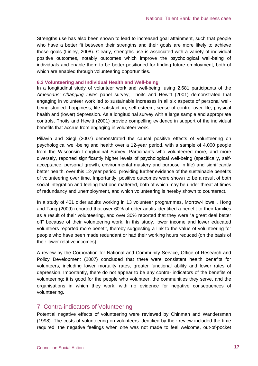Strengths use has also been shown to lead to increased goal attainment, such that people who have a better fit between their strengths and their goals are more likely to achieve those goals (Linley, 2008). Clearly, strengths use is associated with a variety of individual positive outcomes, notably outcomes which improve the psychological well-being of individuals and enable them to be better positioned for finding future employment, both of which are enabled through volunteering opportunities.

#### **6.2 Volunteering and Individual Health and Well-being**

In a longitudinal study of volunteer work and well-being, using 2,681 participants of the *Americans' Changing Lives* panel survey, Thoits and Hewitt (2001) demonstrated that engaging in volunteer work led to sustainable increases in all six aspects of personal wellbeing studied: happiness, life satisfaction, self-esteem, sense of control over life, physical health and (lower) depression. As a longitudinal survey with a large sample and appropriate controls, Thoits and Hewitt (2001) provide compelling evidence in support of the individual benefits that accrue from engaging in volunteer work.

Piliavin and Siegl (2007) demonstrated the causal positive effects of volunteering on psychological well-being and health over a 12-year period, with a sample of 4,000 people from the Wisconsin Longitudinal Survey. Participants who volunteered more, and more diversely, reported significantly higher levels of psychological well-being (specifically, selfacceptance, personal growth, environmental mastery and purpose in life) and significantly better health, over this 12-year period, providing further evidence of the sustainable benefits of volunteering over time. Importantly, positive outcomes were shown to be a result of both social integration and feeling that one mattered, both of which may be under threat at times of redundancy and unemployment, and which volunteering is hereby shown to counteract.

In a study of 401 older adults working in 13 volunteer programmes, Morrow-Howell, Hong and Tang (2009) reported that over 60% of older adults identified a benefit to their families as a result of their volunteering, and over 30% reported that they were "a great deal better off" because of their volunteering work. In this study, lower income and lower educated volunteers reported more benefit, thereby suggesting a link to the value of volunteering for people who have been made redundant or had their working hours reduced (on the basis of their lower relative incomes).

A review by the Corporation for National and Community Service, Office of Research and Policy Development (2007) concluded that there were consistent health benefits for volunteers, including lower mortality rates, greater functional ability and lower rates of depression. Importantly, there do not appear to be any contra- indicators of the benefits of volunteering: it is good for the people who volunteer, the communities they serve, and the organisations in which they work, with no evidence for negative consequences of volunteering.

## 7. Contra-indicators of Volunteering

Potential negative effects of volunteering were reviewed by Chinman and Wandersman (1998). The costs of volunteering on volunteers identified by their review included the time required, the negative feelings when one was not made to feel welcome, out-of-pocket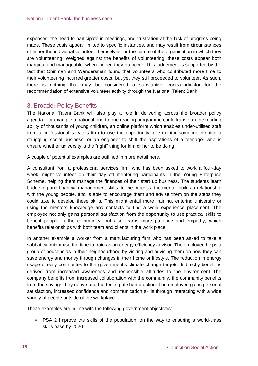expenses, the need to participate in meetings, and frustration at the lack of progress being made. These costs appear limited to specific instances, and may result from circumstances of either the individual volunteer themselves, or the nature of the organisation in which they are volunteering. Weighed against the benefits of volunteering, these costs appear both marginal and manageable, when indeed they do occur. This judgement is supported by the fact that Chinman and Wandersman found that volunteers who contributed more time to their volunteering incurred greater costs, but yet they still proceeded to volunteer. As such, there is nothing that may be considered a substantive contra-indicator for the recommendation of extensive volunteer activity through the National Talent Bank.

## 8. Broader Policy Benefits

The National Talent Bank will also play a role in delivering across the broader policy agenda: For example a national one-to-one reading programme could transform the reading ability of thousands of young children, an online platform which enables under-utilised staff from a professional services firm to use the opportunity to e-mentor someone running a struggling social business, or an engineer to shift the aspirations of a teenager who is unsure whether university is the "right" thing for him or her to be doing.

A couple of potential examples are outlined in more detail here.

A consultant from a professional services firm, who has been asked to work a four-day week, might volunteer on their day off mentoring participants in the Young Enterprise Scheme, helping them manage the finances of their start up business. The students learn budgeting and financial management skills. In the process, the mentor builds a relationship with the young people, and is able to encourage them and advise them on the steps they could take to develop these skills. This might entail more training, entering university or using the mentors knowledge and contacts to find a work experience placement. The employee not only gains personal satisfaction from the opportunity to use practical skills to benefit people in the community, but also learns more patience and empathy, which benefits relationships with both team and clients in the work place.

In another example a worker from a manufacturing firm who has been asked to take a sabbatical might use the time to train as an energy efficiency advisor. The employee helps a group of households in their neighbourhood by visiting and advising them on how they can save energy and money through changes in their home or lifestyle. The reduction in energy usage directly contributes to the government's climate change targets. Indirectly benefit is derived from increased awareness and responsible attitudes to the environment The company benefits from increased collaboration with the community, the community benefits from the savings they derive and the feeling of shared action. The employee gains personal satisfaction, increased confidence and communication skills through interacting with a wide variety of people outside of the workplace.

These examples are in line with the following government objectives:

• PSA 2 Improve the skills of the population, on the way to ensuring a world-class skills base by 2020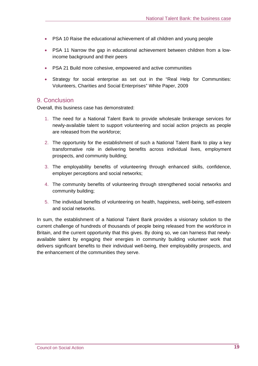- PSA 10 Raise the educational achievement of all children and young people
- PSA 11 Narrow the gap in educational achievement between children from a lowincome background and their peers
- PSA 21 Build more cohesive, empowered and active communities
- Strategy for social enterprise as set out in the "Real Help for Communities: Volunteers, Charities and Social Enterprises" White Paper, 2009

#### 9. Conclusion

Overall, this business case has demonstrated:

- 1. The need for a National Talent Bank to provide wholesale brokerage services for newly-available talent to support volunteering and social action projects as people are released from the workforce;
- 2. The opportunity for the establishment of such a National Talent Bank to play a key transformative role in delivering benefits across individual lives, employment prospects, and community building;
- 3. The employability benefits of volunteering through enhanced skills, confidence, employer perceptions and social networks;
- 4. The community benefits of volunteering through strengthened social networks and community building;
- 5. The individual benefits of volunteering on health, happiness, well-being, self-esteem and social networks.

In sum, the establishment of a National Talent Bank provides a visionary solution to the current challenge of hundreds of thousands of people being released from the workforce in Britain, and the current opportunity that this gives. By doing so, we can harness that newlyavailable talent by engaging their energies in community building volunteer work that delivers significant benefits to their individual well-being, their employability prospects, and the enhancement of the communities they serve.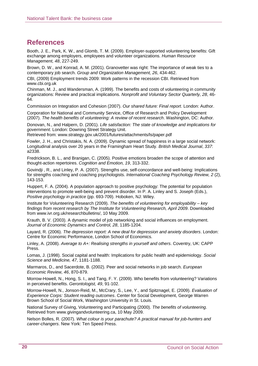# **References**

Booth, J. E., Park, K. W., and Glomb, T. M. (2009). Employer-supported volunteering benefits: Gift exchange among employers, employees and volunteer organizations. *Human Resource Management, 48*, 227-249.

Brown, D. W., and Konrad, A. M. (2001). Granovetter was right: The importance of weak ties to a contemporary job search. *Group and Organization Management, 26*, 434-462.

CBI, (2009) Employment trends 2009: Work patterns in the recession CBI. Retrieved from www.cbi.org.uk

Chinman, M. J., and Wandersman, A. (1999). The benefits and costs of volunteering in community organizations: Review and practical implications. *Nonprofit and Voluntary Sector Quarterly, 28*, 46- 64.

Commission on Integration and Cohesion (2007). *Our shared future: Final report*. London: Author.

Corporation for National and Community Service, Office of Research and Policy Development (2007). *The health benefits of volunteering: A review of recent research*. Washington, DC: Author.

Donovan, N., and Halpern, D. (2001). *Life satisfaction: The state of knowledge and implications for government*. London: Downing Street Strategy Unit.

Retrieved from: www.strategy.gov.uk/2001/futures/attachments/ls/paper.pdf

Fowler, J. H., and Christakis, N. A. (2009). Dynamic spread of happiness in a large social network: Longitudinal analysis over 20 years in the Framingham Heart Study. *British Medical Journal*, *337*: a2338.

Fredrickson, B. L., and Branigan, C. (2005). Positive emotions broaden the scope of attention and thought-action repertoires. *Cognition and Emotion, 19*, 313-332.

Govindji , R., and Linley, P. A. (2007). Strengths use, self-concordance and well-being: Implications for strengths coaching and coaching psychologists. *International Coaching Psychology Review, 2* (2), 143-153.

Huppert, F. A. (2004). A population approach to positive psychology: The potential for population interventions to promote well-being and prevent disorder. In P. A. Linley and S. Joseph (Eds.), *Positive psychology in practice* (pp. 693-709). Hoboken, NJ: Wiley.

Institute for Volunteering Research (2009). *The benefits of volunteering for employability – key findings from recent research by The Institute for Volunteering Research, April 2009*. Downloaded from www.ivr.org.uk/researchbulletins/, 10 May 2009.

Krauth, B. V. (2003). A dynamic model of job networking and social influences on employment. *Journal of Economic Dynamics and Control, 28*, 1185-1204.

Layard, R. (2006). *The depression report: A new deal for depression and anxiety disorders*. London: Centre for Economic Performance, London School of Economics.

Linley, A. (2008). *Average to A+: Realising strengths in yourself and others*. Coventry, UK: CAPP Press.

Lomas, J. (1998). Social capital and health: Implications for public health and epidemiology. *Social Science and Medicine, 47*, 1181-1188.

Marmaros, D., and Sacerdote, B. (2002). Peer and social networks in job search. *European Economic Review, 46*, 870-879.

Morrow-Howell, N., Hong, S. I., and Tang, F. Y. (2009). Who benefits from volunteering? Variations in perceived benefits. *Gerontologist, 49*, 91-102.

Morrow-Howell, N., Jonson-Reid, M., McCrary, S., Lee, Y., and Spitznagel, E. (2009). *Evaluation of Experience Corps: Student reading outcomes*. Center for Social Development, George Warren Brown School of Social Work, Washington University in St. Louis.

National Survey of Giving, Volunteering and Participating (2000). *The benefits of volunteering*. Retrieved from www.givingandvolunteering.ca, 10 May 2009.

Nelson Bolles, R. (2007). *What colour is your parachute? A practical manual for job-hunters and career-changers*. New York: Ten Speed Press.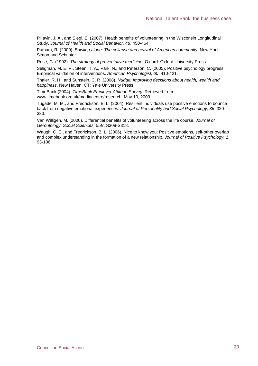Piliavin, J. A., and Siegl, E. (2007). Health benefits of volunteering in the Wisconsin Longitudinal Study. *Journal of Health and Social Behavior, 48*, 450-464.

Putnam, R. (2000). *Bowling alone: The collapse and revival of American community*. New York: Simon and Schuster.

Rose, G. (1992). *The strategy of preventative medicine*. Oxford: Oxford University Press.

Seligman, M. E. P., Steen, T. A., Park, N., and Peterson, C. (2005). Positive psychology progress: Empirical validation of interventions. *American Psychologist, 60*, 410-421.

Thaler, R. H., and Sunstein, C. R. (2008). *Nudge: Improving decisions about health, wealth and happiness*. New Haven, CT: Yale University Press.

TimeBank (2004). *TimeBank Employer Attitude Survey*. Retrieved from www.timebank.org.uk/mediacentre/research, May 10, 2009.

Tugade, M. M., and Fredrickson, B. L. (2004). Resilient individuals use positive emotions to bounce back from negative emotional experiences. *Journal of Personality and Social Psychology, 86*, 320- 333.

Van Willigen, M. (2000). Differential benefits of volunteering across the life course. *Journal of Gerontology: Social Sciences, 55B*, S308-S318.

Waugh, C. E., and Fredrickson, B. L. (2006). Nice to know you: Positive emotions, self-other overlap and complex understanding in the formation of a new relationship. *Journal of Positive Psychology, 1*, 93-106.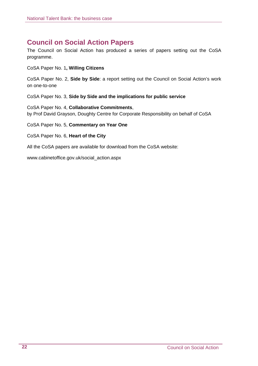# **Council on Social Action Papers**

The Council on Social Action has produced a series of papers setting out the CoSA programme.

CoSA Paper No. 1**, Willing Citizens**

CoSA Paper No. 2, **Side by Side**: a report setting out the Council on Social Action's work on one-to-one

CoSA Paper No. 3, **Side by Side and the implications for public service** 

CoSA Paper No. 4, **Collaborative Commitments**, by Prof David Grayson, Doughty Centre for Corporate Responsibility on behalf of CoSA

CoSA Paper No. 5, **Commentary on Year One**

CoSA Paper No. 6, **Heart of the City**

All the CoSA papers are available for download from the CoSA website:

www.cabinetoffice.gov.uk/social\_action.aspx